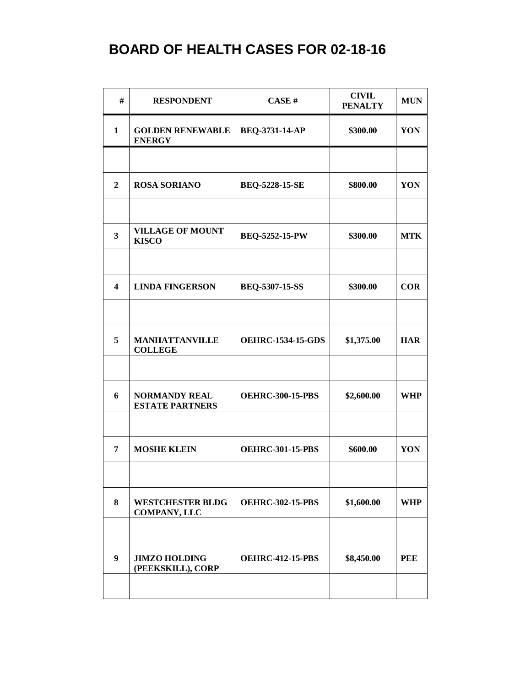| #                       | <b>RESPONDENT</b>                              | CASE#                    | <b>CIVIL</b><br><b>PENALTY</b> | <b>MUN</b> |
|-------------------------|------------------------------------------------|--------------------------|--------------------------------|------------|
| $\mathbf{1}$            | <b>GOLDEN RENEWABLE</b><br><b>ENERGY</b>       | BEQ-3731-14-AP           | \$300.00                       | YON        |
|                         |                                                |                          |                                |            |
| $\mathbf{2}$            | <b>ROSA SORIANO</b>                            | <b>BEQ-5228-15-SE</b>    | \$800.00                       | YON        |
|                         |                                                |                          |                                |            |
| 3                       | <b>VILLAGE OF MOUNT</b><br><b>KISCO</b>        | <b>BEQ-5252-15-PW</b>    | \$300.00                       | <b>MTK</b> |
|                         |                                                |                          |                                |            |
| $\overline{\mathbf{4}}$ | <b>LINDA FINGERSON</b>                         | BEQ-5307-15-SS           | \$300.00                       | <b>COR</b> |
|                         |                                                |                          |                                |            |
| 5                       | <b>MANHATTANVILLE</b><br><b>COLLEGE</b>        | <b>OEHRC-1534-15-GDS</b> | \$1,375.00                     | <b>HAR</b> |
|                         |                                                |                          |                                |            |
| 6                       | <b>NORMANDY REAL</b><br><b>ESTATE PARTNERS</b> | <b>OEHRC-300-15-PBS</b>  | \$2,600.00                     | <b>WHP</b> |
|                         |                                                |                          |                                |            |
| 7                       | <b>MOSHE KLEIN</b>                             | <b>OEHRC-301-15-PBS</b>  | \$600.00                       | YON        |
|                         |                                                |                          |                                |            |
| 8                       | <b>WESTCHESTER BLDG</b><br><b>COMPANY, LLC</b> | <b>OEHRC-302-15-PBS</b>  | \$1,600.00                     | <b>WHP</b> |
|                         |                                                |                          |                                |            |
| 9                       | <b>JIMZO HOLDING</b><br>(PEEKSKILL), CORP      | <b>OEHRC-412-15-PBS</b>  | \$8,450.00                     | <b>PEE</b> |
|                         |                                                |                          |                                |            |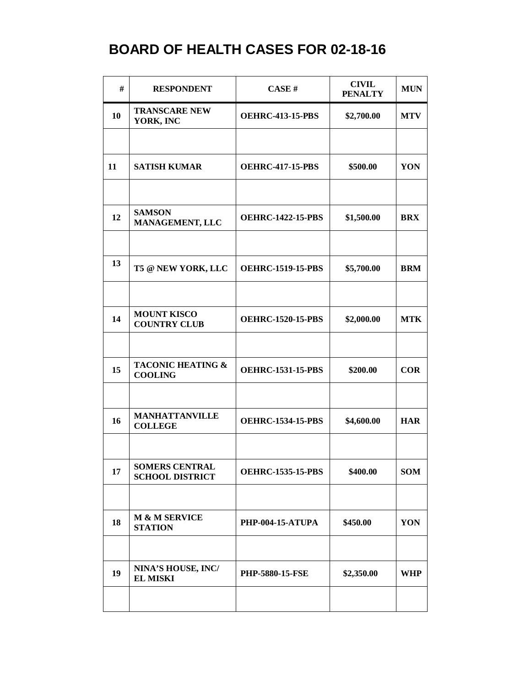| #  | <b>RESPONDENT</b>                               | CASE#                    | <b>CIVIL</b><br><b>PENALTY</b> | <b>MUN</b> |
|----|-------------------------------------------------|--------------------------|--------------------------------|------------|
| 10 | <b>TRANSCARE NEW</b><br>YORK, INC               | <b>OEHRC-413-15-PBS</b>  | \$2,700.00                     | <b>MTV</b> |
|    |                                                 |                          |                                |            |
| 11 | <b>SATISH KUMAR</b>                             | <b>OEHRC-417-15-PBS</b>  | \$500.00                       | YON        |
|    |                                                 |                          |                                |            |
| 12 | <b>SAMSON</b><br>MANAGEMENT, LLC                | <b>OEHRC-1422-15-PBS</b> | \$1,500.00                     | <b>BRX</b> |
|    |                                                 |                          |                                |            |
| 13 | T5 @ NEW YORK, LLC                              | <b>OEHRC-1519-15-PBS</b> | \$5,700.00                     | <b>BRM</b> |
|    |                                                 |                          |                                |            |
| 14 | <b>MOUNT KISCO</b><br><b>COUNTRY CLUB</b>       | <b>OEHRC-1520-15-PBS</b> | \$2,000.00                     | <b>MTK</b> |
|    |                                                 |                          |                                |            |
| 15 | <b>TACONIC HEATING &amp;</b><br><b>COOLING</b>  | <b>OEHRC-1531-15-PBS</b> | \$200.00                       | <b>COR</b> |
|    | <b>MANHATTANVILLE</b>                           |                          |                                |            |
| 16 | <b>COLLEGE</b>                                  | <b>OEHRC-1534-15-PBS</b> | \$4,600.00                     | <b>HAR</b> |
|    |                                                 |                          |                                |            |
| 17 | <b>SOMERS CENTRAL</b><br><b>SCHOOL DISTRICT</b> | <b>OEHRC-1535-15-PBS</b> | \$400.00                       | <b>SOM</b> |
|    |                                                 |                          |                                |            |
| 18 | M & M SERVICE<br><b>STATION</b>                 | <b>PHP-004-15-ATUPA</b>  | \$450.00                       | YON        |
|    |                                                 |                          |                                |            |
| 19 | NINA'S HOUSE, INC/<br><b>EL MISKI</b>           | <b>PHP-5880-15-FSE</b>   | \$2,350.00                     | <b>WHP</b> |
|    |                                                 |                          |                                |            |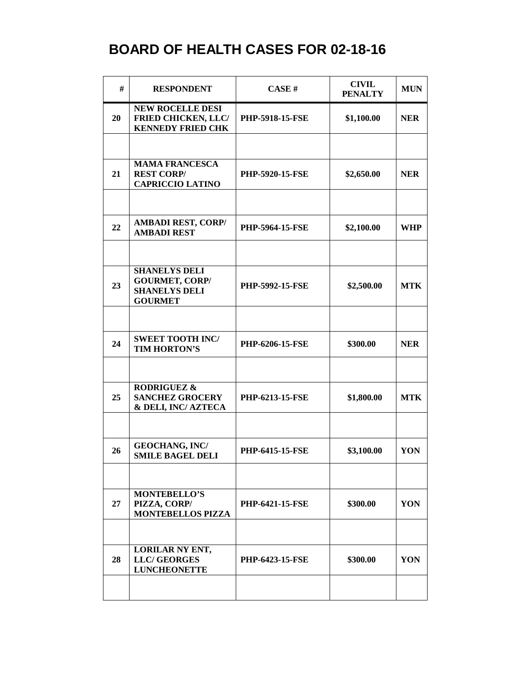| #  | <b>RESPONDENT</b>                                                                       | CASE#                  | <b>CIVIL</b><br><b>PENALTY</b> | <b>MUN</b> |
|----|-----------------------------------------------------------------------------------------|------------------------|--------------------------------|------------|
| 20 | <b>NEW ROCELLE DESI</b><br><b>FRIED CHICKEN, LLC/</b><br><b>KENNEDY FRIED CHK</b>       | <b>PHP-5918-15-FSE</b> | \$1,100.00                     | <b>NER</b> |
|    |                                                                                         |                        |                                |            |
| 21 | <b>MAMA FRANCESCA</b><br><b>REST CORP/</b><br><b>CAPRICCIO LATINO</b>                   | <b>PHP-5920-15-FSE</b> | \$2,650.00                     | <b>NER</b> |
|    |                                                                                         |                        |                                |            |
| 22 | <b>AMBADI REST, CORP/</b><br><b>AMBADI REST</b>                                         | <b>PHP-5964-15-FSE</b> | \$2,100.00                     | <b>WHP</b> |
|    |                                                                                         |                        |                                |            |
| 23 | <b>SHANELYS DELI</b><br><b>GOURMET, CORP/</b><br><b>SHANELYS DELI</b><br><b>GOURMET</b> | PHP-5992-15-FSE        | \$2,500.00                     | <b>MTK</b> |
|    |                                                                                         |                        |                                |            |
| 24 | <b>SWEET TOOTH INC/</b><br>TIM HORTON'S                                                 | <b>PHP-6206-15-FSE</b> | \$300.00                       | <b>NER</b> |
|    |                                                                                         |                        |                                |            |
| 25 | <b>RODRIGUEZ &amp;</b><br><b>SANCHEZ GROCERY</b><br>& DELI, INC/AZTECA                  | PHP-6213-15-FSE        | \$1,800.00                     | <b>MTK</b> |
|    |                                                                                         |                        |                                |            |
| 26 | <b>GEOCHANG, INC/</b><br><b>SMILE BAGEL DELI</b>                                        | <b>PHP-6415-15-FSE</b> | \$3,100.00                     | YON        |
|    |                                                                                         |                        |                                |            |
| 27 | <b>MONTEBELLO'S</b><br>PIZZA, CORP/<br><b>MONTEBELLOS PIZZA</b>                         | <b>PHP-6421-15-FSE</b> | \$300.00                       | YON        |
|    |                                                                                         |                        |                                |            |
| 28 | LORILAR NY ENT,<br><b>LLC/GEORGES</b><br><b>LUNCHEONETTE</b>                            | <b>PHP-6423-15-FSE</b> | \$300.00                       | YON        |
|    |                                                                                         |                        |                                |            |